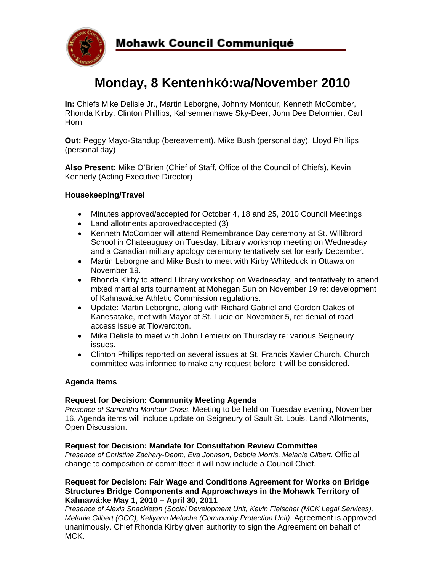

# **Monday, 8 Kentenhkó:wa/November 2010**

**In:** Chiefs Mike Delisle Jr., Martin Leborgne, Johnny Montour, Kenneth McComber, Rhonda Kirby, Clinton Phillips, Kahsennenhawe Sky-Deer, John Dee Delormier, Carl Horn

**Out:** Peggy Mayo-Standup (bereavement), Mike Bush (personal day), Lloyd Phillips (personal day)

**Also Present:** Mike O'Brien (Chief of Staff, Office of the Council of Chiefs), Kevin Kennedy (Acting Executive Director)

## **Housekeeping/Travel**

- Minutes approved/accepted for October 4, 18 and 25, 2010 Council Meetings
- Land allotments approved/accepted (3)
- Kenneth McComber will attend Remembrance Day ceremony at St. Willibrord School in Chateauguay on Tuesday, Library workshop meeting on Wednesday and a Canadian military apology ceremony tentatively set for early December.
- Martin Leborgne and Mike Bush to meet with Kirby Whiteduck in Ottawa on November 19.
- Rhonda Kirby to attend Library workshop on Wednesday, and tentatively to attend mixed martial arts tournament at Mohegan Sun on November 19 re: development of Kahnawá:ke Athletic Commission regulations.
- Update: Martin Leborgne, along with Richard Gabriel and Gordon Oakes of Kanesatake, met with Mayor of St. Lucie on November 5, re: denial of road access issue at Tiowero:ton.
- Mike Delisle to meet with John Lemieux on Thursday re: various Seigneury issues.
- Clinton Phillips reported on several issues at St. Francis Xavier Church. Church committee was informed to make any request before it will be considered.

#### **Agenda Items**

#### **Request for Decision: Community Meeting Agenda**

*Presence of Samantha Montour-Cross.* Meeting to be held on Tuesday evening, November 16. Agenda items will include update on Seigneury of Sault St. Louis, Land Allotments, Open Discussion.

## **Request for Decision: Mandate for Consultation Review Committee**

*Presence of Christine Zachary-Deom, Eva Johnson, Debbie Morris, Melanie Gilbert.* Official change to composition of committee: it will now include a Council Chief.

#### **Request for Decision: Fair Wage and Conditions Agreement for Works on Bridge Structures Bridge Components and Approachways in the Mohawk Territory of Kahnawá:ke May 1, 2010 – April 30, 2011**

*Presence of Alexis Shackleton (Social Development Unit, Kevin Fleischer (MCK Legal Services), Melanie Gilbert (OCC), Kellyann Meloche (Community Protection Unit).* Agreement is approved unanimously. Chief Rhonda Kirby given authority to sign the Agreement on behalf of MCK.